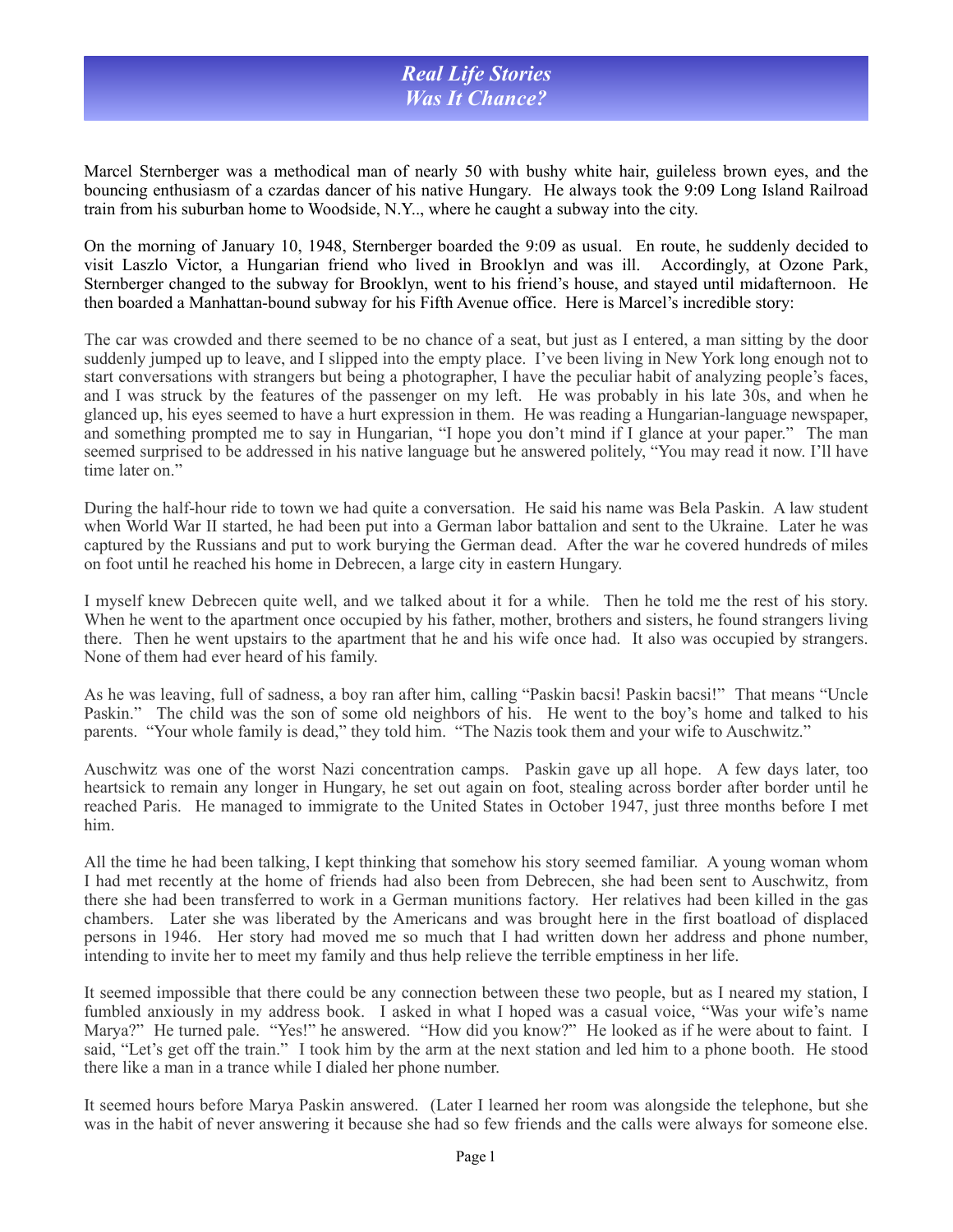## *Real Life Stories Was It Chance?*

Marcel Sternberger was a methodical man of nearly 50 with bushy white hair, guileless brown eyes, and the bouncing enthusiasm of a czardas dancer of his native Hungary. He always took the 9:09 Long Island Railroad train from his suburban home to Woodside, N.Y.., where he caught a subway into the city.

On the morning of January 10, 1948, Sternberger boarded the 9:09 as usual. En route, he suddenly decided to visit Laszlo Victor, a Hungarian friend who lived in Brooklyn and was ill. Accordingly, at Ozone Park, Sternberger changed to the subway for Brooklyn, went to his friend's house, and stayed until midafternoon. He then boarded a Manhattan-bound subway for his Fifth Avenue office. Here is Marcel's incredible story:

The car was crowded and there seemed to be no chance of a seat, but just as I entered, a man sitting by the door suddenly jumped up to leave, and I slipped into the empty place. I've been living in New York long enough not to start conversations with strangers but being a photographer, I have the peculiar habit of analyzing people's faces, and I was struck by the features of the passenger on my left. He was probably in his late 30s, and when he glanced up, his eyes seemed to have a hurt expression in them. He was reading a Hungarian-language newspaper, and something prompted me to say in Hungarian, "I hope you don't mind if I glance at your paper." The man seemed surprised to be addressed in his native language but he answered politely, "You may read it now. I'll have time later on."

During the half-hour ride to town we had quite a conversation. He said his name was Bela Paskin. A law student when World War II started, he had been put into a German labor battalion and sent to the Ukraine. Later he was captured by the Russians and put to work burying the German dead. After the war he covered hundreds of miles on foot until he reached his home in Debrecen, a large city in eastern Hungary.

I myself knew Debrecen quite well, and we talked about it for a while. Then he told me the rest of his story. When he went to the apartment once occupied by his father, mother, brothers and sisters, he found strangers living there. Then he went upstairs to the apartment that he and his wife once had. It also was occupied by strangers. None of them had ever heard of his family.

As he was leaving, full of sadness, a boy ran after him, calling "Paskin bacsi! Paskin bacsi!" That means "Uncle Paskin." The child was the son of some old neighbors of his. He went to the boy's home and talked to his parents. "Your whole family is dead," they told him. "The Nazis took them and your wife to Auschwitz."

Auschwitz was one of the worst Nazi concentration camps. Paskin gave up all hope. A few days later, too heartsick to remain any longer in Hungary, he set out again on foot, stealing across border after border until he reached Paris. He managed to immigrate to the United States in October 1947, just three months before I met him.

All the time he had been talking, I kept thinking that somehow his story seemed familiar. A young woman whom I had met recently at the home of friends had also been from Debrecen, she had been sent to Auschwitz, from there she had been transferred to work in a German munitions factory. Her relatives had been killed in the gas chambers. Later she was liberated by the Americans and was brought here in the first boatload of displaced persons in 1946. Her story had moved me so much that I had written down her address and phone number, intending to invite her to meet my family and thus help relieve the terrible emptiness in her life.

It seemed impossible that there could be any connection between these two people, but as I neared my station, I fumbled anxiously in my address book. I asked in what I hoped was a casual voice, "Was your wife's name Marya?" He turned pale. "Yes!" he answered. "How did you know?" He looked as if he were about to faint. I said, "Let's get off the train." I took him by the arm at the next station and led him to a phone booth. He stood there like a man in a trance while I dialed her phone number.

It seemed hours before Marya Paskin answered. (Later I learned her room was alongside the telephone, but she was in the habit of never answering it because she had so few friends and the calls were always for someone else.